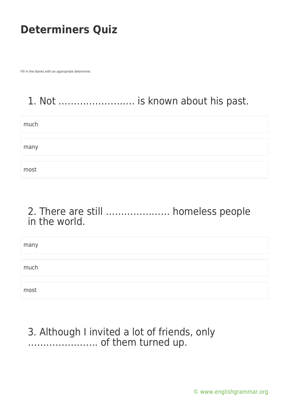Fill in the blanks with an appropriate determiner.

# 1. Not ……………………. is known about his past.

| much |  |
|------|--|
|      |  |
| many |  |
|      |  |
| most |  |

#### 2. There are still ………………… homeless people in the world.

| many |  |
|------|--|
|      |  |
| much |  |
|      |  |
|      |  |
| most |  |

#### 3. Although I invited a lot of friends, only ………………….. of them turned up.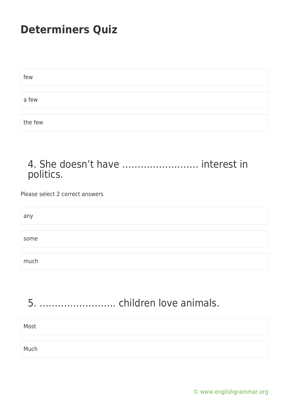| few     |  |
|---------|--|
|         |  |
| a few   |  |
|         |  |
| the few |  |

#### 4. She doesn't have ……………………. interest in politics.

Please select 2 correct answers

| any  |  |  |  |
|------|--|--|--|
|      |  |  |  |
| some |  |  |  |
|      |  |  |  |
| much |  |  |  |

# 5. ……………………. children love animals.

| Most |  |  |
|------|--|--|
|      |  |  |
| Much |  |  |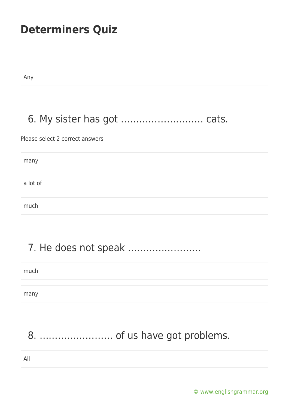Any

#### 6. My sister has got ……………………… cats.

Please select 2 correct answers

many a lot of much

# 7. He does not speak ……………………

much many

## 8. …………………… of us have got problems.

All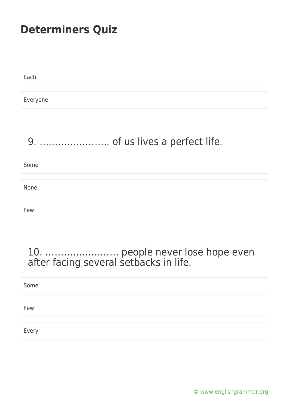Each

Everyone

# 9. ………………….. of us lives a perfect life.

# Some None Few

#### 10. …………………… people never lose hope even after facing several setbacks in life.

| Some  |  |  |
|-------|--|--|
|       |  |  |
| Few   |  |  |
|       |  |  |
| Every |  |  |

[© www.englishgrammar.org](https://www.englishgrammar.org/)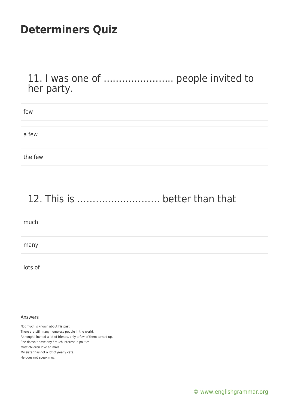11. I was one of ………………….. people invited to her party.

| few     |  |
|---------|--|
|         |  |
| a few   |  |
|         |  |
| the few |  |

## 12. This is ……………………… better than that

| much    |  |
|---------|--|
|         |  |
| many    |  |
|         |  |
| lots of |  |

#### Answers

Not much is known about his past. There are still many homeless people in the world. Although I invited a lot of friends, only a few of them turned up. She doesn't have any / much interest in politics. Most children love animals. My sister has got a lot of /many cats. He does not speak much.